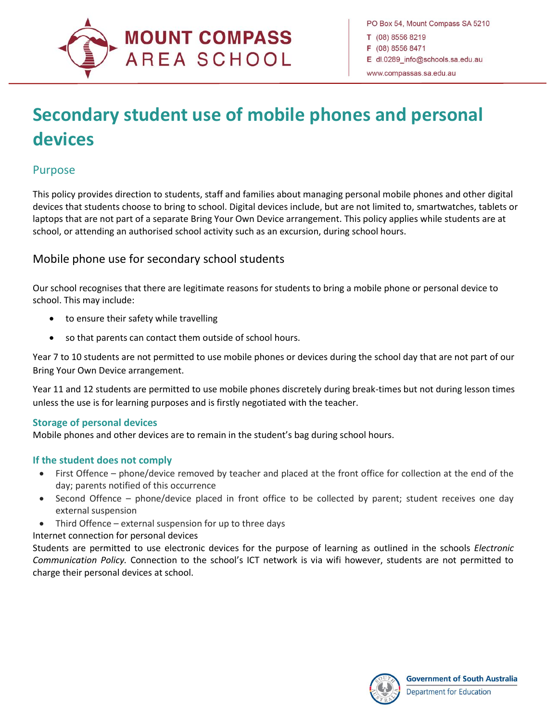

# **Secondary student use of mobile phones and personal devices**

## Purpose

 $\overline{a}$ 

This policy provides direction to students, staff and families about managing personal mobile phones and other digital devices that students choose to bring to school. Digital devices include, but are not limited to, smartwatches, tablets or laptops that are not part of a separate Bring Your Own Device arrangement. This policy applies while students are at school, or attending an authorised school activity such as an excursion, during school hours.

## Mobile phone use for secondary school students

Our school recognises that there are legitimate reasons for students to bring a mobile phone or personal device to school. This may include:

- to ensure their safety while travelling
- so that parents can contact them outside of school hours.

Year 7 to 10 students are not permitted to use mobile phones or devices during the school day that are not part of our Bring Your Own Device arrangement.

Year 11 and 12 students are permitted to use mobile phones discretely during break-times but not during lesson times unless the use is for learning purposes and is firstly negotiated with the teacher.

#### **Storage of personal devices**

Mobile phones and other devices are to remain in the student's bag during school hours.

#### **If the student does not comply**

- First Offence phone/device removed by teacher and placed at the front office for collection at the end of the day; parents notified of this occurrence
- Second Offence phone/device placed in front office to be collected by parent; student receives one day external suspension
- Third Offence external suspension for up to three days

Internet connection for personal devices

Students are permitted to use electronic devices for the purpose of learning as outlined in the schools *Electronic Communication Policy.* Connection to the school's ICT network is via wifi however, students are not permitted to charge their personal devices at school.

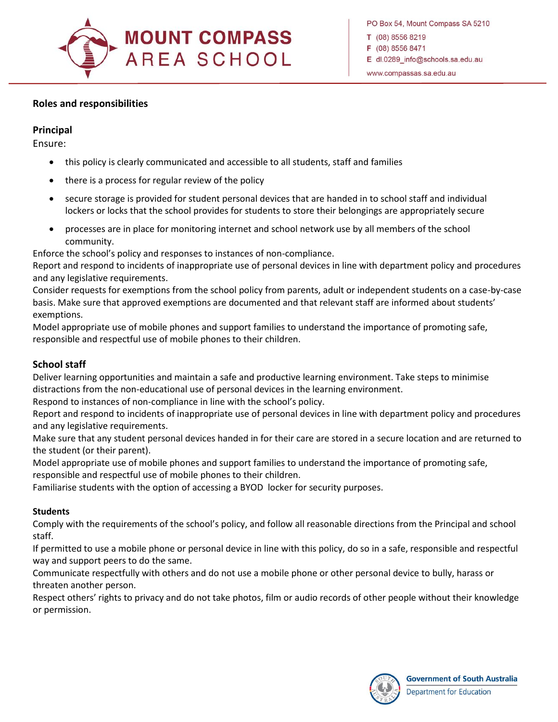

PO Box 54, Mount Compass SA 5210 T (08) 8556 8219 F (08) 8556 8471 E dl.0289 info@schools.sa.edu.au www.compassas.sa.edu.au

#### **Roles and responsibilities**

#### **Principal**

 $\overline{a}$ 

Ensure:

- this policy is clearly communicated and accessible to all students, staff and families
- there is a process for regular review of the policy
- secure storage is provided for student personal devices that are handed in to school staff and individual lockers or locks that the school provides for students to store their belongings are appropriately secure
- processes are in place for monitoring internet and school network use by all members of the school community.

Enforce the school's policy and responses to instances of non-compliance.

Report and respond to incidents of inappropriate use of personal devices in line with department policy and procedures and any legislative requirements.

Consider requests for exemptions from the school policy from parents, adult or independent students on a case-by-case basis. Make sure that approved exemptions are documented and that relevant staff are informed about students' exemptions.

Model appropriate use of mobile phones and support families to understand the importance of promoting safe, responsible and respectful use of mobile phones to their children.

#### **School staff**

Deliver learning opportunities and maintain a safe and productive learning environment. Take steps to minimise distractions from the non-educational use of personal devices in the learning environment.

Respond to instances of non-compliance in line with the school's policy.

Report and respond to incidents of inappropriate use of personal devices in line with department policy and procedures and any legislative requirements.

Make sure that any student personal devices handed in for their care are stored in a secure location and are returned to the student (or their parent).

Model appropriate use of mobile phones and support families to understand the importance of promoting safe, responsible and respectful use of mobile phones to their children.

Familiarise students with the option of accessing a BYOD locker for security purposes.

#### **Students**

Comply with the requirements of the school's policy, and follow all reasonable directions from the Principal and school staff.

If permitted to use a mobile phone or personal device in line with this policy, do so in a safe, responsible and respectful way and support peers to do the same.

Communicate respectfully with others and do not use a mobile phone or other personal device to bully, harass or threaten another person.

Respect others' rights to privacy and do not take photos, film or audio records of other people without their knowledge or permission.